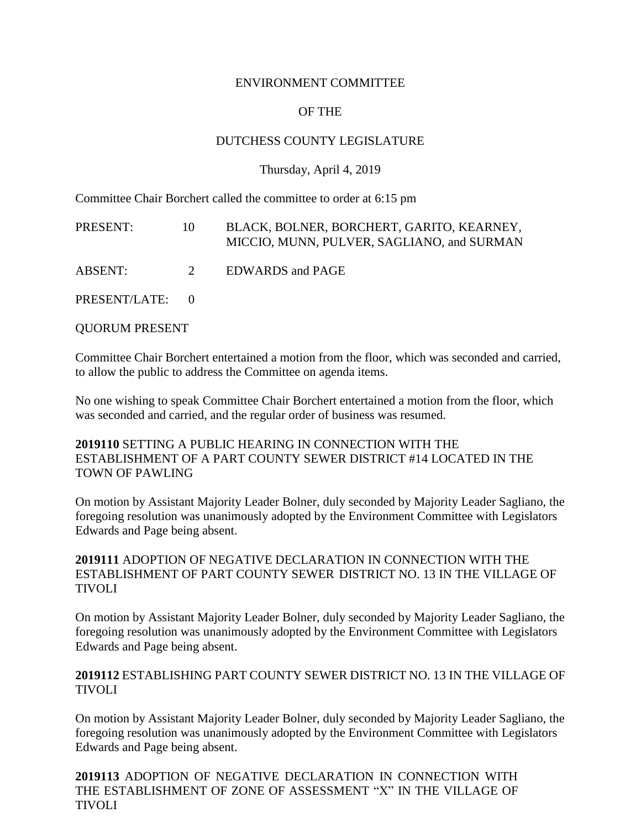#### ENVIRONMENT COMMITTEE

# OF THE

## DUTCHESS COUNTY LEGISLATURE

#### Thursday, April 4, 2019

Committee Chair Borchert called the committee to order at 6:15 pm

| PRESENT:        | 10          | BLACK, BOLNER, BORCHERT, GARITO, KEARNEY,<br>MICCIO, MUNN, PULVER, SAGLIANO, and SURMAN |
|-----------------|-------------|-----------------------------------------------------------------------------------------|
| ABSENT:         | $2^{\circ}$ | <b>EDWARDS</b> and PAGE                                                                 |
| PRESENT/LATE: 0 |             |                                                                                         |

QUORUM PRESENT

Committee Chair Borchert entertained a motion from the floor, which was seconded and carried, to allow the public to address the Committee on agenda items.

No one wishing to speak Committee Chair Borchert entertained a motion from the floor, which was seconded and carried, and the regular order of business was resumed.

**2019110** SETTING A PUBLIC HEARING IN CONNECTION WITH THE ESTABLISHMENT OF A PART COUNTY SEWER DISTRICT #14 LOCATED IN THE TOWN OF PAWLING

On motion by Assistant Majority Leader Bolner, duly seconded by Majority Leader Sagliano, the foregoing resolution was unanimously adopted by the Environment Committee with Legislators Edwards and Page being absent.

#### **2019111** ADOPTION OF NEGATIVE DECLARATION IN CONNECTION WITH THE ESTABLISHMENT OF PART COUNTY SEWER DISTRICT NO. 13 IN THE VILLAGE OF TIVOLI

On motion by Assistant Majority Leader Bolner, duly seconded by Majority Leader Sagliano, the foregoing resolution was unanimously adopted by the Environment Committee with Legislators Edwards and Page being absent.

### **2019112** ESTABLISHING PART COUNTY SEWER DISTRICT NO. 13 IN THE VILLAGE OF TIVOLI

On motion by Assistant Majority Leader Bolner, duly seconded by Majority Leader Sagliano, the foregoing resolution was unanimously adopted by the Environment Committee with Legislators Edwards and Page being absent.

**2019113** ADOPTION OF NEGATIVE DECLARATION IN CONNECTION WITH THE ESTABLISHMENT OF ZONE OF ASSESSMENT "X" IN THE VILLAGE OF TIVOLI